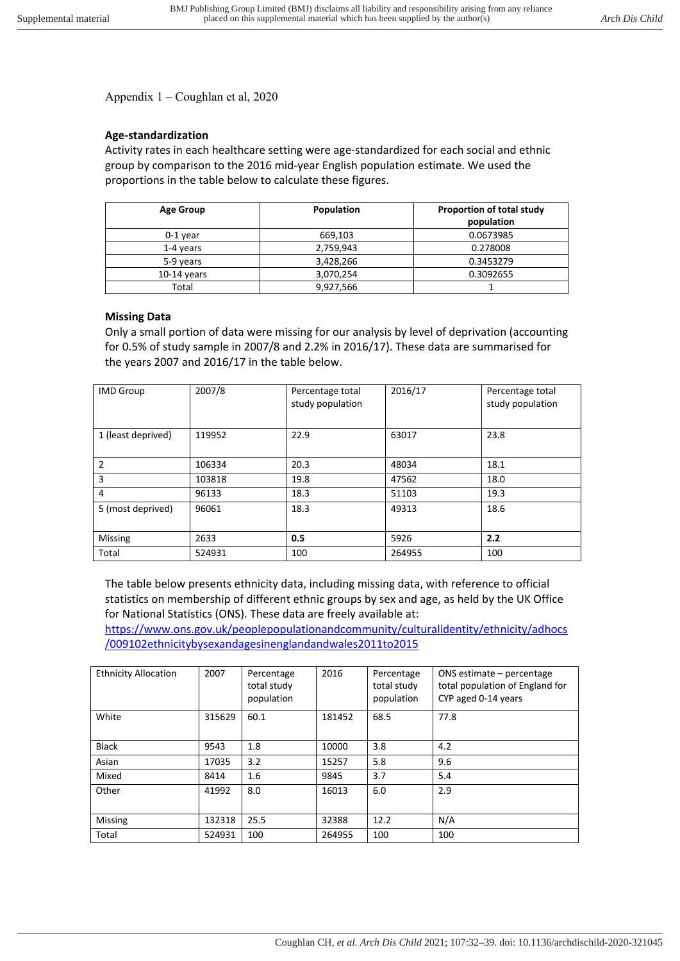Appendix 1 – Coughlan et al, 2020

## **Age-standardization**

Activity rates in each healthcare setting were age-standardized for each social and ethnic group by comparison to the 2016 mid-year English population estimate. We used the proportions in the table below to calculate these figures.

| <b>Age Group</b> | Population | Proportion of total study<br>population |  |
|------------------|------------|-----------------------------------------|--|
|                  |            |                                         |  |
| $0-1$ year       | 669,103    | 0.0673985                               |  |
| 1-4 years        | 2,759,943  | 0.278008                                |  |
| 5-9 years        | 3,428,266  | 0.3453279                               |  |
| $10-14$ years    | 3,070,254  | 0.3092655                               |  |
| Total            | 9,927,566  |                                         |  |

## **Missing Data**

Only a small portion of data were missing for our analysis by level of deprivation (accounting for 0.5% of study sample in 2007/8 and 2.2% in 2016/17). These data are summarised for the years 2007 and 2016/17 in the table below.

| <b>IMD Group</b>   | 2007/8 | Percentage total<br>study population | 2016/17 | Percentage total<br>study population |
|--------------------|--------|--------------------------------------|---------|--------------------------------------|
| 1 (least deprived) | 119952 | 22.9                                 | 63017   | 23.8                                 |
| 2                  | 106334 | 20.3                                 | 48034   | 18.1                                 |
| 3                  | 103818 | 19.8                                 | 47562   | 18.0                                 |
| 4                  | 96133  | 18.3                                 | 51103   | 19.3                                 |
| 5 (most deprived)  | 96061  | 18.3                                 | 49313   | 18.6                                 |
| Missing            | 2633   | 0.5                                  | 5926    | 2.2                                  |
| Total              | 524931 | 100                                  | 264955  | 100                                  |

The table below presents ethnicity data, including missing data, with reference to official statistics on membership of different ethnic groups by sex and age, as held by the UK Office for National Statistics (ONS). These data are freely available at:

https://www.ons.gov.uk/peoplepopulationandcommunity/culturalidentity/ethnicity/adhocs /009102ethnicitybysexandagesinenglandandwales2011to2015

| <b>Ethnicity Allocation</b> | 2007   | Percentage<br>total study<br>population | 2016   | Percentage<br>total study<br>population | ONS estimate - percentage<br>total population of England for<br>CYP aged 0-14 years |
|-----------------------------|--------|-----------------------------------------|--------|-----------------------------------------|-------------------------------------------------------------------------------------|
| White                       | 315629 | 60.1                                    | 181452 | 68.5                                    | 77.8                                                                                |
| <b>Black</b>                | 9543   | 1.8                                     | 10000  | 3.8                                     | 4.2                                                                                 |
| Asian                       | 17035  | 3.2                                     | 15257  | 5.8                                     | 9.6                                                                                 |
| Mixed                       | 8414   | 1.6                                     | 9845   | 3.7                                     | 5.4                                                                                 |
| Other                       | 41992  | 8.0                                     | 16013  | 6.0                                     | 2.9                                                                                 |
| Missing                     | 132318 | 25.5                                    | 32388  | 12.2                                    | N/A                                                                                 |
| Total                       | 524931 | 100                                     | 264955 | 100                                     | 100                                                                                 |